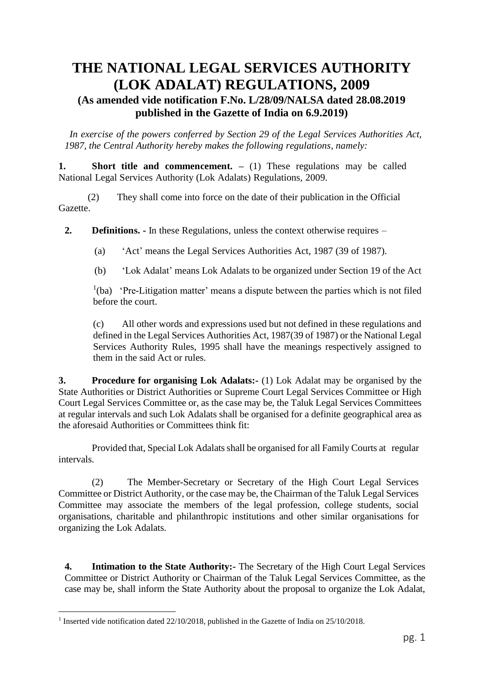# **THE NATIONAL LEGAL SERVICES AUTHORITY (LOK ADALAT) REGULATIONS, 2009 (As amended vide notification F.No. L/28/09/NALSA dated 28.08.2019 published in the Gazette of India on 6.9.2019)**

*In exercise of the powers conferred by Section 29 of the Legal Services Authorities Act, 1987, the Central Authority hereby makes the following regulations, namely:*

**1. Short title and commencement.** – (1) These regulations may be called National Legal Services Authority (Lok Adalats) Regulations, 2009.

(2) They shall come into force on the date of their publication in the Official Gazette.

**2. Definitions. -** In these Regulations, unless the context otherwise requires –

(a) 'Act' means the Legal Services Authorities Act, 1987 (39 of 1987).

(b) 'Lok Adalat' means Lok Adalats to be organized under Section 19 of the Act

 $1(ba)$  'Pre-Litigation matter' means a dispute between the parties which is not filed before the court.

(c) All other words and expressions used but not defined in these regulations and defined in the Legal Services Authorities Act, 1987(39 of 1987) or the National Legal Services Authority Rules, 1995 shall have the meanings respectively assigned to them in the said Act or rules.

**3. Procedure for organising Lok Adalats:-** (1) Lok Adalat may be organised by the State Authorities or District Authorities or Supreme Court Legal Services Committee or High Court Legal Services Committee or, as the case may be, the Taluk Legal Services Committees at regular intervals and such Lok Adalats shall be organised for a definite geographical area as the aforesaid Authorities or Committees think fit:

Provided that, Special Lok Adalats shall be organised for all Family Courts at regular intervals.

(2) The Member-Secretary or Secretary of the High Court Legal Services Committee or District Authority, or the case may be, the Chairman of the Taluk Legal Services Committee may associate the members of the legal profession, college students, social organisations, charitable and philanthropic institutions and other similar organisations for organizing the Lok Adalats.

**4. Intimation to the State Authority:-** The Secretary of the High Court Legal Services Committee or District Authority or Chairman of the Taluk Legal Services Committee, as the case may be, shall inform the State Authority about the proposal to organize the Lok Adalat,

<sup>&</sup>lt;sup>1</sup> Inserted vide notification dated 22/10/2018, published in the Gazette of India on 25/10/2018.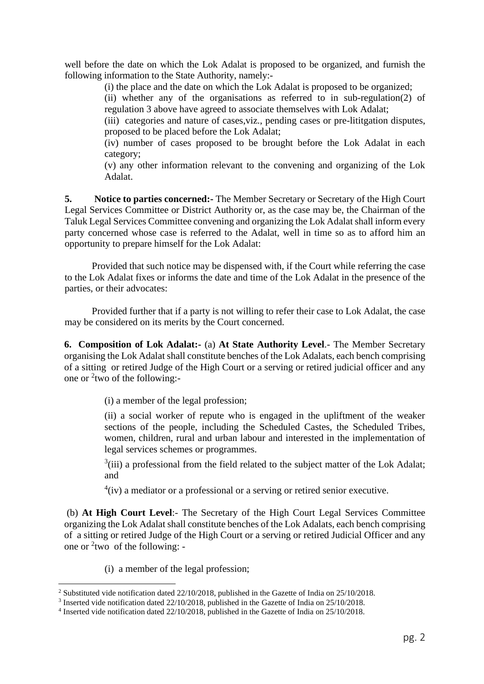well before the date on which the Lok Adalat is proposed to be organized, and furnish the following information to the State Authority, namely:-

(i) the place and the date on which the Lok Adalat is proposed to be organized;

(ii) whether any of the organisations as referred to in sub-regulation(2) of regulation 3 above have agreed to associate themselves with Lok Adalat;

(iii) categories and nature of cases,viz., pending cases or pre-lititgation disputes, proposed to be placed before the Lok Adalat;

(iv) number of cases proposed to be brought before the Lok Adalat in each category;

(v) any other information relevant to the convening and organizing of the Lok Adalat.

**5. Notice to parties concerned:-** The Member Secretary or Secretary of the High Court Legal Services Committee or District Authority or, as the case may be, the Chairman of the Taluk Legal Services Committee convening and organizing the Lok Adalat shall inform every party concerned whose case is referred to the Adalat, well in time so as to afford him an opportunity to prepare himself for the Lok Adalat:

Provided that such notice may be dispensed with, if the Court while referring the case to the Lok Adalat fixes or informs the date and time of the Lok Adalat in the presence of the parties, or their advocates:

Provided further that if a party is not willing to refer their case to Lok Adalat, the case may be considered on its merits by the Court concerned.

**6. Composition of Lok Adalat:-** (a) **At State Authority Level**.- The Member Secretary organising the Lok Adalat shall constitute benches of the Lok Adalats, each bench comprising of a sittingor retired Judge of the High Court or a serving or retired judicial officer and any one or  $2$ two of the following:-

(i) a member of the legal profession;

(ii) a social worker of repute who is engaged in the upliftment of the weaker sections of the people, including the Scheduled Castes, the Scheduled Tribes, women, children, rural and urban labour and interested in the implementation of legal services schemes or programmes.

 $3(iii)$  a professional from the field related to the subject matter of the Lok Adalat; and

 $4$ (iv) a mediator or a professional or a serving or retired senior executive.

(b) **At High Court Level**:- The Secretary of the High Court Legal Services Committee organizing the Lok Adalat shall constitute benches of the Lok Adalats, each bench comprising of a sitting or retired Judge of the High Court or a serving or retired Judicial Officer and any one or <sup>2</sup> twoof the following: -

(i) a member of the legal profession;

<sup>2</sup> Substituted vide notification dated 22/10/2018, published in the Gazette of India on 25/10/2018.

<sup>&</sup>lt;sup>3</sup> Inserted vide notification dated 22/10/2018, published in the Gazette of India on 25/10/2018.

<sup>&</sup>lt;sup>4</sup> Inserted vide notification dated 22/10/2018, published in the Gazette of India on 25/10/2018.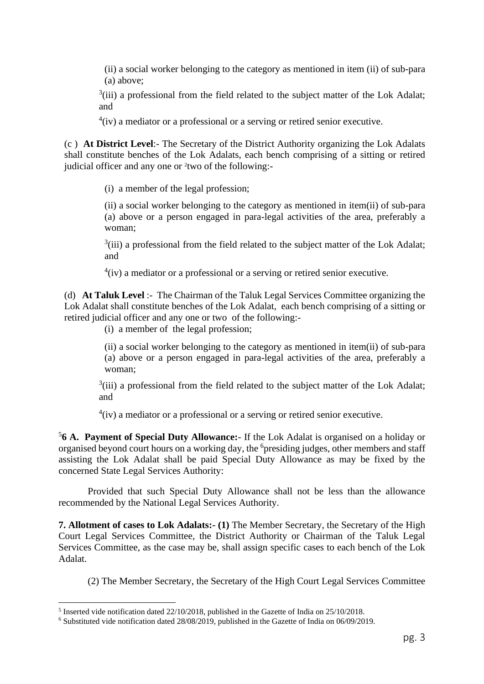(ii) a social worker belonging to the category as mentioned in item (ii) of sub-para (a) above;

 $3(iii)$  a professional from the field related to the subject matter of the Lok Adalat; and

 $4$ (iv) a mediator or a professional or a serving or retired senior executive.

(c ) **At District Level**:- The Secretary of the District Authority organizing the Lok Adalats shall constitute benches of the Lok Adalats, each bench comprising of a sitting or retired judicial officer and any one or <sup>2</sup>two of the following:-

(i) a member of the legal profession;

(ii) a social worker belonging to the category as mentioned in item(ii) of sub-para (a) above or a person engaged in para-legal activities of the area, preferably a woman;

 $3(iii)$  a professional from the field related to the subject matter of the Lok Adalat; and

 $4$ (iv) a mediator or a professional or a serving or retired senior executive.

(d) **At Taluk Level** :- The Chairman of the Taluk Legal Services Committee organizing the Lok Adalat shall constitute benches of the Lok Adalat, each bench comprising of a sitting or retired judicial officer and any one or two of the following:-

(i) a member of the legal profession;

(ii) a social worker belonging to the category as mentioned in item(ii) of sub-para (a) above or a person engaged in para-legal activities of the area, preferably a woman;

 $3(iii)$  a professional from the field related to the subject matter of the Lok Adalat; and

 $4$ (iv) a mediator or a professional or a serving or retired senior executive.

5 **6 A. Payment of Special Duty Allowance:**- If the Lok Adalat is organised on a holiday or organised beyond court hours on a working day, the <sup>6</sup>presiding judges, other members and staff assisting the Lok Adalat shall be paid Special Duty Allowance as may be fixed by the concerned State Legal Services Authority:

Provided that such Special Duty Allowance shall not be less than the allowance recommended by the National Legal Services Authority.

**7. Allotment of cases to Lok Adalats:- (1)** The Member Secretary, the Secretary of the High Court Legal Services Committee, the District Authority or Chairman of the Taluk Legal Services Committee, as the case may be, shall assign specific cases to each bench of the Lok Adalat.

(2) The Member Secretary, the Secretary of the High Court Legal Services Committee

<sup>&</sup>lt;sup>5</sup> Inserted vide notification dated 22/10/2018, published in the Gazette of India on 25/10/2018.

<sup>6</sup> Substituted vide notification dated 28/08/2019, published in the Gazette of India on 06/09/2019.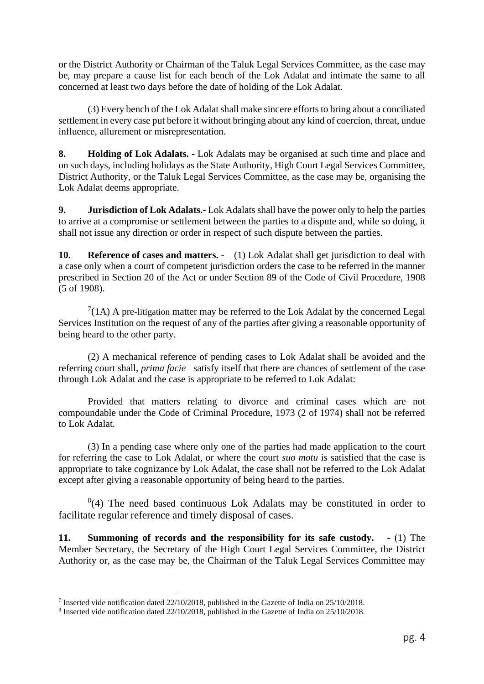or the District Authority or Chairman of the Taluk Legal Services Committee, as the case may be, may prepare a cause list for each bench of the Lok Adalat and intimate the same to all concerned at least two days before the date of holding of the Lok Adalat.

(3) Every bench of the Lok Adalat shall make sincere efforts to bring about a conciliated settlement in every case put before it without bringing about any kind of coercion, threat, undue influence, allurement or misrepresentation.

**8. Holding of Lok Adalats. -** Lok Adalats may be organised at such time and place and on such days, including holidays as the State Authority, High Court Legal Services Committee, District Authority, or the Taluk Legal Services Committee, as the case may be, organising the Lok Adalat deems appropriate.

**9. Jurisdiction of Lok Adalats.-** Lok Adalats shall have the power only to help the parties to arrive at a compromise or settlement between the parties to a dispute and, while so doing, it shall not issue any direction or order in respect of such dispute between the parties.

**10. Reference of cases and matters. -** (1) Lok Adalat shall get jurisdiction to deal with a case only when a court of competent jurisdiction orders the case to be referred in the manner prescribed in Section 20 of the Act or under Section 89 of the Code of Civil Procedure, 1908 (5 of 1908).

 $7(1A)$  A pre-litigation matter may be referred to the Lok Adalat by the concerned Legal Services Institution on the request of any of the parties after giving a reasonable opportunity of being heard to the other party.

(2) A mechanical reference of pending cases to Lok Adalat shall be avoided and the referring court shall, *prima facie* satisfy itself that there are chances of settlement of the case through Lok Adalat and the case is appropriate to be referred to Lok Adalat:

Provided that matters relating to divorce and criminal cases which are not compoundable under the Code of Criminal Procedure, 1973 (2 of 1974) shall not be referred to Lok Adalat.

(3) In a pending case where only one of the parties had made application to the court for referring the case to Lok Adalat, or where the court *suo motu* is satisfied that the case is appropriate to take cognizance by Lok Adalat, the case shall not be referred to the Lok Adalat except after giving a reasonable opportunity of being heard to the parties.

 $(4)$  The need based continuous Lok Adalats may be constituted in order to facilitate regular reference and timely disposal of cases.

**11. Summoning of records and the responsibility for its safe custody. -** (1) The Member Secretary, the Secretary of the High Court Legal Services Committee, the District Authority or, as the case may be, the Chairman of the Taluk Legal Services Committee may

<sup>&</sup>lt;sup>7</sup> Inserted vide notification dated 22/10/2018, published in the Gazette of India on 25/10/2018.

<sup>&</sup>lt;sup>8</sup> Inserted vide notification dated 22/10/2018, published in the Gazette of India on 25/10/2018.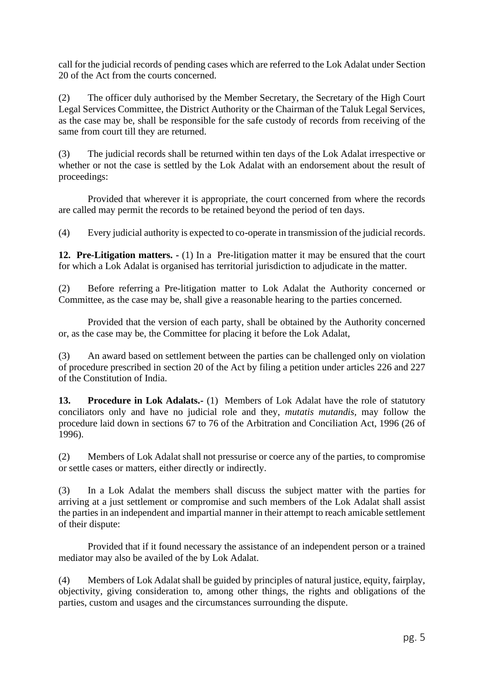call for the judicial records of pending cases which are referred to the Lok Adalat under Section 20 of the Act from the courts concerned.

(2) The officer duly authorised by the Member Secretary, the Secretary of the High Court Legal Services Committee, the District Authority or the Chairman of the Taluk Legal Services, as the case may be, shall be responsible for the safe custody of records from receiving of the same from court till they are returned.

(3) The judicial records shall be returned within ten days of the Lok Adalat irrespective or whether or not the case is settled by the Lok Adalat with an endorsement about the result of proceedings:

Provided that wherever it is appropriate, the court concerned from where the records are called may permit the records to be retained beyond the period of ten days.

(4) Every judicial authority is expected to co-operate in transmission of the judicial records.

**12. Pre-Litigation matters. -** (1) In a Pre-litigation matter it may be ensured that the court for which a Lok Adalat is organised has territorial jurisdiction to adjudicate in the matter.

(2) Before referring a Pre-litigation matter to Lok Adalat the Authority concerned or Committee, as the case may be, shall give a reasonable hearing to the parties concerned.

Provided that the version of each party, shall be obtained by the Authority concerned or, as the case may be, the Committee for placing it before the Lok Adalat,

(3) An award based on settlement between the parties can be challenged only on violation of procedure prescribed in section 20 of the Act by filing a petition under articles 226 and 227 of the Constitution of India.

**13. Procedure in Lok Adalats.-** (1) Members of Lok Adalat have the role of statutory conciliators only and have no judicial role and they, *mutatis mutandis,* may follow the procedure laid down in sections 67 to 76 of the Arbitration and Conciliation Act, 1996 (26 of 1996).

(2) Members of Lok Adalat shall not pressurise or coerce any of the parties, to compromise or settle cases or matters, either directly or indirectly.

(3) In a Lok Adalat the members shall discuss the subject matter with the parties for arriving at a just settlement or compromise and such members of the Lok Adalat shall assist the parties in an independent and impartial manner in their attempt to reach amicable settlement of their dispute:

Provided that if it found necessary the assistance of an independent person or a trained mediator may also be availed of the by Lok Adalat.

(4) Members of Lok Adalat shall be guided by principles of natural justice, equity, fairplay, objectivity, giving consideration to, among other things, the rights and obligations of the parties, custom and usages and the circumstances surrounding the dispute.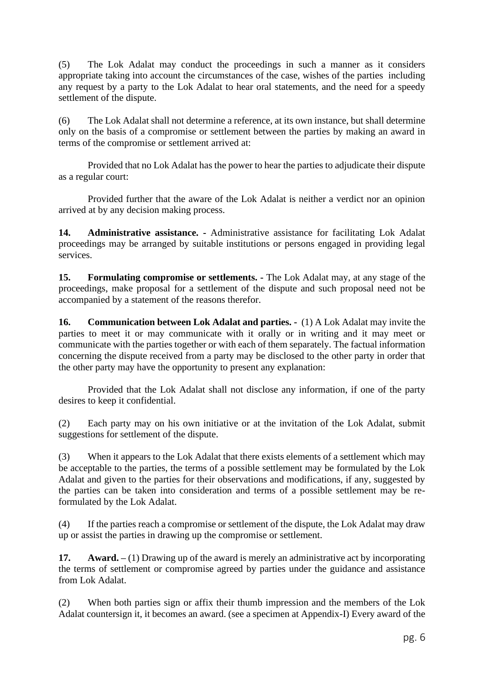(5) The Lok Adalat may conduct the proceedings in such a manner as it considers appropriate taking into account the circumstances of the case, wishes of the parties including any request by a party to the Lok Adalat to hear oral statements, and the need for a speedy settlement of the dispute.

(6) The Lok Adalat shall not determine a reference, at its own instance, but shall determine only on the basis of a compromise or settlement between the parties by making an award in terms of the compromise or settlement arrived at:

Provided that no Lok Adalat has the power to hear the parties to adjudicate their dispute as a regular court:

Provided further that the aware of the Lok Adalat is neither a verdict nor an opinion arrived at by any decision making process.

**14. Administrative assistance. -** Administrative assistance for facilitating Lok Adalat proceedings may be arranged by suitable institutions or persons engaged in providing legal services.

**15. Formulating compromise or settlements. -** The Lok Adalat may, at any stage of the proceedings, make proposal for a settlement of the dispute and such proposal need not be accompanied by a statement of the reasons therefor.

**16. Communication between Lok Adalat and parties. -** (1) A Lok Adalat may invite the parties to meet it or may communicate with it orally or in writing and it may meet or communicate with the parties together or with each of them separately. The factual information concerning the dispute received from a party may be disclosed to the other party in order that the other party may have the opportunity to present any explanation:

Provided that the Lok Adalat shall not disclose any information, if one of the party desires to keep it confidential.

(2) Each party may on his own initiative or at the invitation of the Lok Adalat, submit suggestions for settlement of the dispute.

(3) When it appears to the Lok Adalat that there exists elements of a settlement which may be acceptable to the parties, the terms of a possible settlement may be formulated by the Lok Adalat and given to the parties for their observations and modifications, if any, suggested by the parties can be taken into consideration and terms of a possible settlement may be reformulated by the Lok Adalat.

(4) If the parties reach a compromise or settlement of the dispute, the Lok Adalat may draw up or assist the parties in drawing up the compromise or settlement.

**17. Award. –** (1) Drawing up of the award is merely an administrative act by incorporating the terms of settlement or compromise agreed by parties under the guidance and assistance from Lok Adalat.

(2) When both parties sign or affix their thumb impression and the members of the Lok Adalat countersign it, it becomes an award. (see a specimen at Appendix-I) Every award of the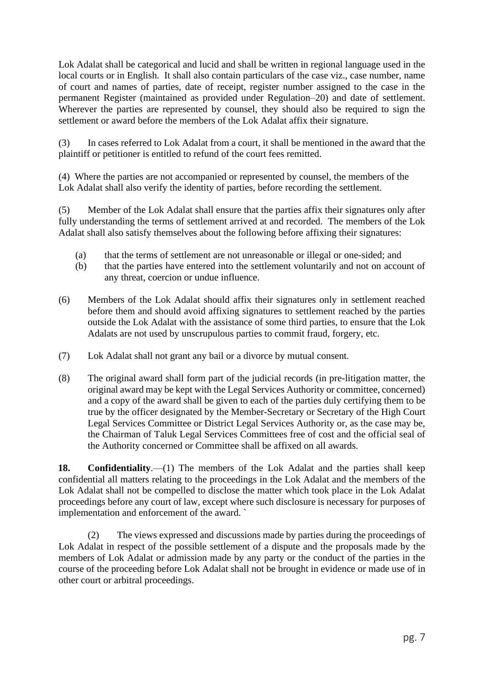Lok Adalat shall be categorical and lucid and shall be written in regional language used in the local courts or in English. It shall also contain particulars of the case viz., case number, name of court and names of parties, date of receipt, register number assigned to the case in the permanent Register (maintained as provided under Regulation–20) and date of settlement. Wherever the parties are represented by counsel, they should also be required to sign the settlement or award before the members of the Lok Adalat affix their signature.

(3) In cases referred to Lok Adalat from a court, it shall be mentioned in the award that the plaintiff or petitioner is entitled to refund of the court fees remitted.

(4) Where the parties are not accompanied or represented by counsel, the members of the Lok Adalat shall also verify the identity of parties, before recording the settlement.

(5) Member of the Lok Adalat shall ensure that the parties affix their signatures only after fully understanding the terms of settlement arrived at and recorded. The members of the Lok Adalat shall also satisfy themselves about the following before affixing their signatures:

- (a) that the terms of settlement are not unreasonable or illegal or one-sided; and
- (b) that the parties have entered into the settlement voluntarily and not on account of any threat, coercion or undue influence.
- (6) Members of the Lok Adalat should affix their signatures only in settlement reached before them and should avoid affixing signatures to settlement reached by the parties outside the Lok Adalat with the assistance of some third parties, to ensure that the Lok Adalats are not used by unscrupulous parties to commit fraud, forgery, etc.
- (7) Lok Adalat shall not grant any bail or a divorce by mutual consent.
- (8) The original award shall form part of the judicial records (in pre-litigation matter, the original award may be kept with the Legal Services Authority or committee, concerned) and a copy of the award shall be given to each of the parties duly certifying them to be true by the officer designated by the Member-Secretary or Secretary of the High Court Legal Services Committee or District Legal Services Authority or, as the case may be, the Chairman of Taluk Legal Services Committees free of cost and the official seal of the Authority concerned or Committee shall be affixed on all awards.

**18. Confidentiality**.—(1) The members of the Lok Adalat and the parties shall keep confidential all matters relating to the proceedings in the Lok Adalat and the members of the Lok Adalat shall not be compelled to disclose the matter which took place in the Lok Adalat proceedings before any court of law, except where such disclosure is necessary for purposes of implementation and enforcement of the award. `

(2) The views expressed and discussions made by parties during the proceedings of Lok Adalat in respect of the possible settlement of a dispute and the proposals made by the members of Lok Adalat or admission made by any party or the conduct of the parties in the course of the proceeding before Lok Adalat shall not be brought in evidence or made use of in other court or arbitral proceedings.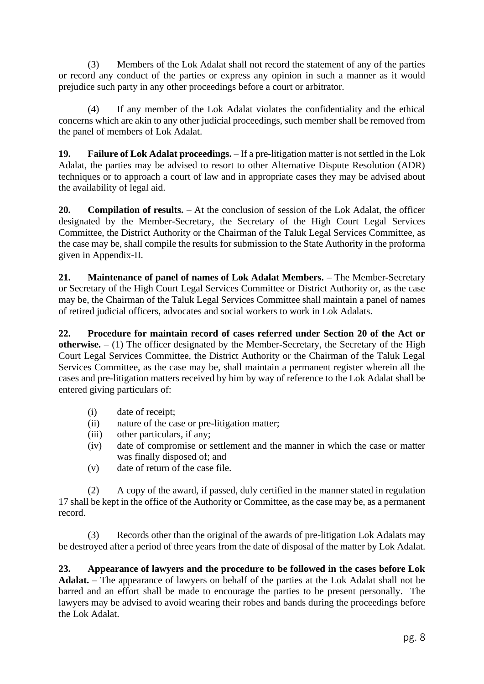(3) Members of the Lok Adalat shall not record the statement of any of the parties or record any conduct of the parties or express any opinion in such a manner as it would prejudice such party in any other proceedings before a court or arbitrator.

(4) If any member of the Lok Adalat violates the confidentiality and the ethical concerns which are akin to any other judicial proceedings, such member shall be removed from the panel of members of Lok Adalat.

**19. Failure of Lok Adalat proceedings.** – If a pre-litigation matter is not settled in the Lok Adalat, the parties may be advised to resort to other Alternative Dispute Resolution (ADR) techniques or to approach a court of law and in appropriate cases they may be advised about the availability of legal aid.

**20. Compilation of results.** – At the conclusion of session of the Lok Adalat, the officer designated by the Member-Secretary, the Secretary of the High Court Legal Services Committee, the District Authority or the Chairman of the Taluk Legal Services Committee, as the case may be, shall compile the results for submission to the State Authority in the proforma given in Appendix-II.

**21. Maintenance of panel of names of Lok Adalat Members.** – The Member-Secretary or Secretary of the High Court Legal Services Committee or District Authority or, as the case may be, the Chairman of the Taluk Legal Services Committee shall maintain a panel of names of retired judicial officers, advocates and social workers to work in Lok Adalats.

**22. Procedure for maintain record of cases referred under Section 20 of the Act or otherwise.** – (1) The officer designated by the Member-Secretary, the Secretary of the High Court Legal Services Committee, the District Authority or the Chairman of the Taluk Legal Services Committee, as the case may be, shall maintain a permanent register wherein all the cases and pre-litigation matters received by him by way of reference to the Lok Adalat shall be entered giving particulars of:

- (i) date of receipt;
- (ii) nature of the case or pre-litigation matter;
- (iii) other particulars, if any;
- (iv) date of compromise or settlement and the manner in which the case or matter was finally disposed of; and
- (v) date of return of the case file.

(2) A copy of the award, if passed, duly certified in the manner stated in regulation 17 shall be kept in the office of the Authority or Committee, as the case may be, as a permanent record.

(3) Records other than the original of the awards of pre-litigation Lok Adalats may be destroyed after a period of three years from the date of disposal of the matter by Lok Adalat.

**23. Appearance of lawyers and the procedure to be followed in the cases before Lok Adalat.** – The appearance of lawyers on behalf of the parties at the Lok Adalat shall not be barred and an effort shall be made to encourage the parties to be present personally. The lawyers may be advised to avoid wearing their robes and bands during the proceedings before the Lok Adalat.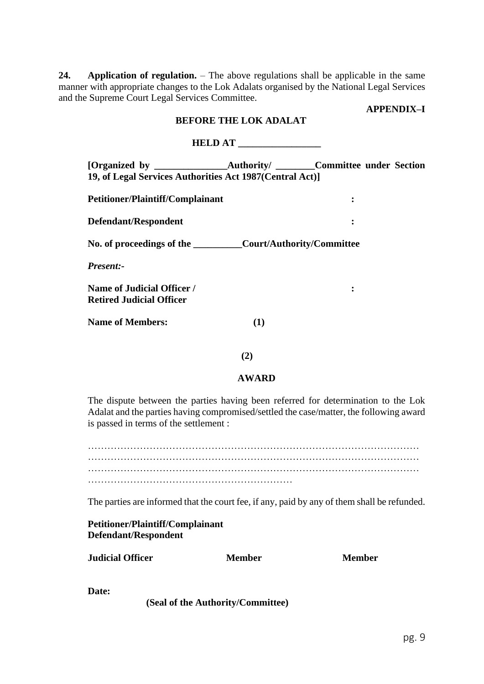**24. Application of regulation.** – The above regulations shall be applicable in the same manner with appropriate changes to the Lok Adalats organised by the National Legal Services and the Supreme Court Legal Services Committee.

# **APPENDIX–I**

## **BEFORE THE LOK ADALAT**

# **HELD AT \_\_\_\_\_\_\_\_\_\_\_\_\_\_\_\_\_**

|                                                           |  | <b>Authority/</b> ________Committee under Section |  |  |  |  |  |  |  |
|-----------------------------------------------------------|--|---------------------------------------------------|--|--|--|--|--|--|--|
| 19, of Legal Services Authorities Act 1987 (Central Act)] |  |                                                   |  |  |  |  |  |  |  |
|                                                           |  |                                                   |  |  |  |  |  |  |  |
| <b>Petitioner/Plaintiff/Complainant</b>                   |  |                                                   |  |  |  |  |  |  |  |
|                                                           |  |                                                   |  |  |  |  |  |  |  |
| Defendant/Respondent                                      |  |                                                   |  |  |  |  |  |  |  |

**No. of proceedings of the \_\_\_\_\_\_\_\_\_\_Court/Authority/Committee**

*Present:-*

**Name of Judicial Officer / : Retired Judicial Officer**

**Name of Members: (1)**

 **(2)** 

## **AWARD**

The dispute between the parties having been referred for determination to the Lok Adalat and the parties having compromised/settled the case/matter, the following award is passed in terms of the settlement :

………………………………………………………………………………………… ………………………………………………………………………………………… ………………………………………………………………………………………… ………………………………………………………

The parties are informed that the court fee, if any, paid by any of them shall be refunded.

**Petitioner/Plaintiff/Complainant Defendant/Respondent**

| <b>Judicial Officer</b> | Member | <b>Member</b> |
|-------------------------|--------|---------------|
|                         |        |               |

**Date:**

**(Seal of the Authority/Committee)**